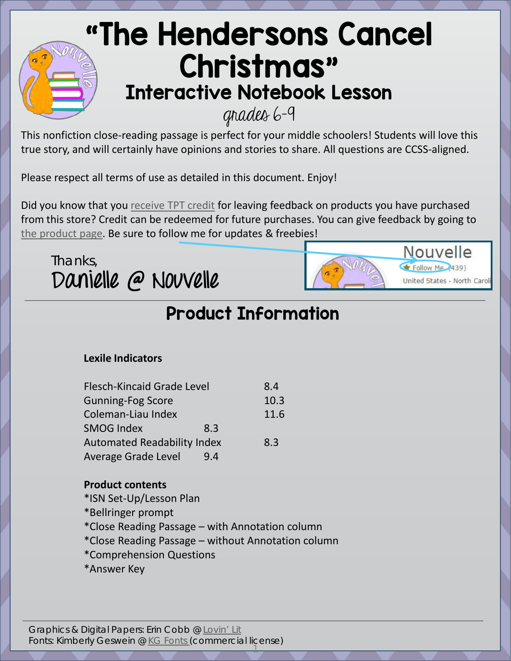## ["](https://www.teacherspayteachers.com/Store/Nouvelle/)The Hendersons Cancel Christmas" Interactive Notebook Lesson

grades 6-9

This nonfiction close-reading passage is perfect for your middle schoolers! Students will love this true story, and will certainly have opinions and stories to share. All questions are CCSS-aligned.

Please respect all terms of use as detailed in this document. Enjoy!

Did you know that you [receive TPT credit](http://tiny.cc/receiveTPTcredit) for leaving feedback on products you have purchased from this store? Credit can be redeemed for future purchases. You can give feedback by going to [the product page.](https://www.teacherspayteachers.com/Product/Non-Fiction-Text-Close-Reading-Passage-The-Hendersons-Cancel-Christmas-2235554) Be sure to follow me for updates & freebies!

> Nouvelle  $\blacktriangleright$  Follow Me $(439)$

United States - North Carol

Thanks, **Danielle @ Nouvelle**

## Product Information

#### **Lexile Indicators**

| <b>Flesch-Kincaid Grade Level</b>  |     | 8.4  |
|------------------------------------|-----|------|
| <b>Gunning-Fog Score</b>           |     | 10.3 |
| Coleman-Liau Index                 |     | 11.6 |
| <b>SMOG Index</b>                  | 8.3 |      |
| <b>Automated Readability Index</b> |     | 8.3  |
| <b>Average Grade Level</b>         | 9.4 |      |

#### **Product contents**

- \*ISN Set-Up/Lesson Plan
- \*Bellringer prompt
- \*Close Reading Passage with Annotation column
- \*Close Reading Passage without Annotation column
- \*Comprehension Questions
- \*Answer Key

Graphics & Digital Papers: Erin Cobb @ [Lovin' Lit](https://www.teacherspayteachers.com/Store/Lovin-Lit) Fonts: Kimberly Geswein @ [KG Fonts \(](http://www.kimberlygeswein.com/)commercial license)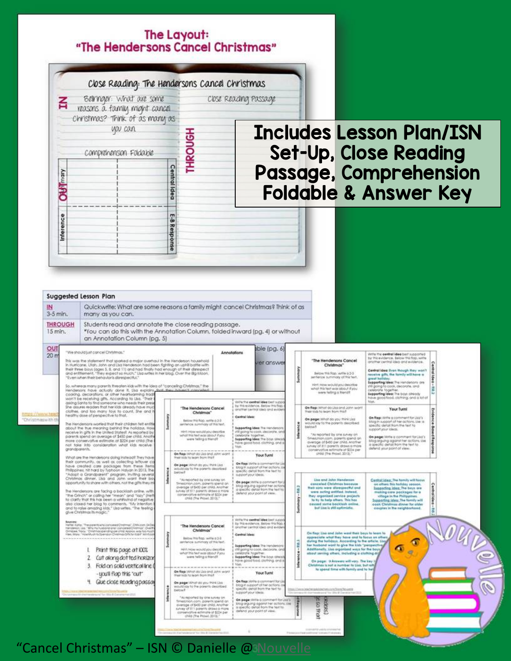#### The Layout: "The Hendersons Cancel Christmas"



"Cancel Christmas" - ISN © Danielle @ [Nouvelle](https://www.teacherspayteachers.com/Store/Nouvelle)